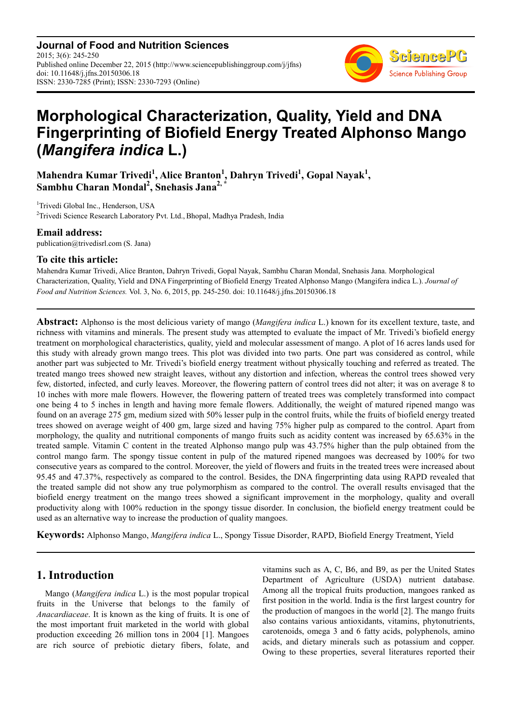**Journal of Food and Nutrition Sciences** 2015; 3(6): 245-250 Published online December 22, 2015 (http://www.sciencepublishinggroup.com/j/jfns) doi: 10.11648/j.jfns.20150306.18 ISSN: 2330-7285 (Print); ISSN: 2330-7293 (Online)



# **Morphological Characterization, Quality, Yield and DNA Fingerprinting of Biofield Energy Treated Alphonso Mango (***Mangifera indica* **L.)**

**Mahendra Kumar Trivedi<sup>1</sup> , Alice Branton<sup>1</sup> , Dahryn Trivedi<sup>1</sup> , Gopal Nayak<sup>1</sup> , Sambhu Charan Mondal<sup>2</sup> , Snehasis Jana2, \***

<sup>1</sup>Trivedi Global Inc., Henderson, USA

 $2$ Trivedi Science Research Laboratory Pvt. Ltd., Bhopal, Madhya Pradesh, India

## **Email address:**

publication@trivedisrl.com (S. Jana)

## **To cite this article:**

Mahendra Kumar Trivedi, Alice Branton, Dahryn Trivedi, Gopal Nayak, Sambhu Charan Mondal, Snehasis Jana. Morphological Characterization, Quality, Yield and DNA Fingerprinting of Biofield Energy Treated Alphonso Mango (Mangifera indica L.). *Journal of Food and Nutrition Sciences.* Vol. 3, No. 6, 2015, pp. 245-250. doi: 10.11648/j.jfns.20150306.18

**Abstract:** Alphonso is the most delicious variety of mango (*Mangifera indica* L.) known for its excellent texture, taste, and richness with vitamins and minerals. The present study was attempted to evaluate the impact of Mr. Trivedi's biofield energy treatment on morphological characteristics, quality, yield and molecular assessment of mango. A plot of 16 acres lands used for this study with already grown mango trees. This plot was divided into two parts. One part was considered as control, while another part was subjected to Mr. Trivedi's biofield energy treatment without physically touching and referred as treated. The treated mango trees showed new straight leaves, without any distortion and infection, whereas the control trees showed very few, distorted, infected, and curly leaves. Moreover, the flowering pattern of control trees did not alter; it was on average 8 to 10 inches with more male flowers. However, the flowering pattern of treated trees was completely transformed into compact one being 4 to 5 inches in length and having more female flowers. Additionally, the weight of matured ripened mango was found on an average 275 gm, medium sized with 50% lesser pulp in the control fruits, while the fruits of biofield energy treated trees showed on average weight of 400 gm, large sized and having 75% higher pulp as compared to the control. Apart from morphology, the quality and nutritional components of mango fruits such as acidity content was increased by 65.63% in the treated sample. Vitamin C content in the treated Alphonso mango pulp was 43.75% higher than the pulp obtained from the control mango farm. The spongy tissue content in pulp of the matured ripened mangoes was decreased by 100% for two consecutive years as compared to the control. Moreover, the yield of flowers and fruits in the treated trees were increased about 95.45 and 47.37%, respectively as compared to the control. Besides, the DNA fingerprinting data using RAPD revealed that the treated sample did not show any true polymorphism as compared to the control. The overall results envisaged that the biofield energy treatment on the mango trees showed a significant improvement in the morphology, quality and overall productivity along with 100% reduction in the spongy tissue disorder. In conclusion, the biofield energy treatment could be used as an alternative way to increase the production of quality mangoes.

**Keywords:** Alphonso Mango, *Mangifera indica* L., Spongy Tissue Disorder, RAPD, Biofield Energy Treatment, Yield

## **1. Introduction**

Mango (*Mangifera indica* L.) is the most popular tropical fruits in the Universe that belongs to the family of *Anacardiaceae*. It is known as the king of fruits. It is one of the most important fruit marketed in the world with global production exceeding 26 million tons in 2004 [1]. Mangoes are rich source of prebiotic dietary fibers, folate, and vitamins such as A, C, B6, and B9, as per the United States Department of Agriculture (USDA) nutrient database. Among all the tropical fruits production, mangoes ranked as first position in the world. India is the first largest country for the production of mangoes in the world [2]. The mango fruits also contains various antioxidants, vitamins, phytonutrients, carotenoids, omega 3 and 6 fatty acids, polyphenols, amino acids, and dietary minerals such as potassium and copper. Owing to these properties, several literatures reported their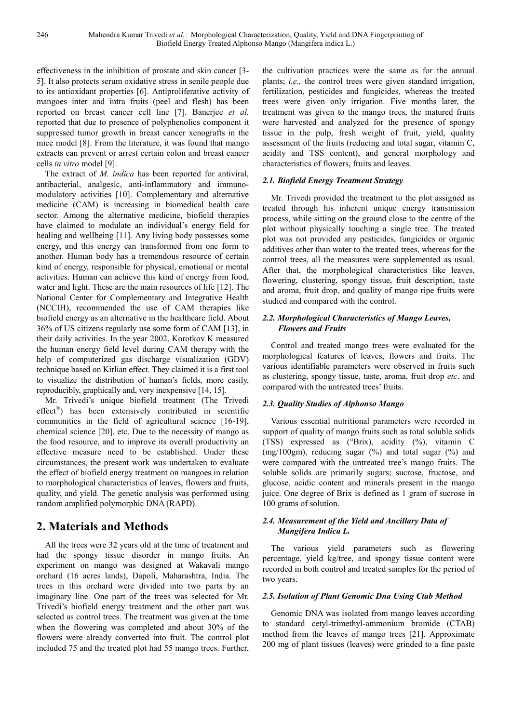effectiveness in the inhibition of prostate and skin cancer [3- 5]. It also protects serum oxidative stress in senile people due to its antioxidant properties [6]. Antiproliferative activity of mangoes inter and intra fruits (peel and flesh) has been reported on breast cancer cell line [7]. Banerjee *et al.* reported that due to presence of polyphenolics component it suppressed tumor growth in breast cancer xenografts in the mice model [8]. From the literature, it was found that mango extracts can prevent or arrest certain colon and breast cancer cells *in vitro* model [9].

The extract of *M. indica* has been reported for antiviral, antibacterial, analgesic, anti-inflammatory and immunomodulatory activities [10]. Complementary and alternative medicine (CAM) is increasing in biomedical health care sector. Among the alternative medicine, biofield therapies have claimed to modulate an individual's energy field for healing and wellbeing [11]. Any living body possesses some energy, and this energy can transformed from one form to another. Human body has a tremendous resource of certain kind of energy, responsible for physical, emotional or mental activities. Human can achieve this kind of energy from food, water and light. These are the main resources of life [12]. The National Center for Complementary and Integrative Health (NCCIH), recommended the use of CAM therapies like biofield energy as an alternative in the healthcare field. About 36% of US citizens regularly use some form of CAM [13], in their daily activities. In the year 2002, Korotkov K measured the human energy field level during CAM therapy with the help of computerized gas discharge visualization (GDV) technique based on Kirlian effect. They claimed it is a first tool to visualize the distribution of human's fields, more easily, reproducibly, graphically and, very inexpensive [14, 15].

Mr. Trivedi's unique biofield treatment (The Trivedi effect® ) has been extensively contributed in scientific communities in the field of agricultural science [16-19], chemical science [20], etc. Due to the necessity of mango as the food resource, and to improve its overall productivity an effective measure need to be established. Under these circumstances, the present work was undertaken to evaluate the effect of biofield energy treatment on mangoes in relation to morphological characteristics of leaves, flowers and fruits, quality, and yield. The genetic analysis was performed using random amplified polymorphic DNA (RAPD).

# **2. Materials and Methods**

All the trees were 32 years old at the time of treatment and had the spongy tissue disorder in mango fruits. An experiment on mango was designed at Wakavali mango orchard (16 acres lands), Dapoli, Maharashtra, India. The trees in this orchard were divided into two parts by an imaginary line. One part of the trees was selected for Mr. Trivedi's biofield energy treatment and the other part was selected as control trees. The treatment was given at the time when the flowering was completed and about 30% of the flowers were already converted into fruit. The control plot included 75 and the treated plot had 55 mango trees. Further,

the cultivation practices were the same as for the annual plants; *i.e.,* the control trees were given standard irrigation, fertilization, pesticides and fungicides, whereas the treated trees were given only irrigation. Five months later, the treatment was given to the mango trees, the matured fruits were harvested and analyzed for the presence of spongy tissue in the pulp, fresh weight of fruit, yield, quality assessment of the fruits (reducing and total sugar, vitamin C, acidity and TSS content), and general morphology and characteristics of flowers, fruits and leaves.

## *2.1. Biofield Energy Treatment Strategy*

Mr. Trivedi provided the treatment to the plot assigned as treated through his inherent unique energy transmission process, while sitting on the ground close to the centre of the plot without physically touching a single tree. The treated plot was not provided any pesticides, fungicides or organic additives other than water to the treated trees, whereas for the control trees, all the measures were supplemented as usual. After that, the morphological characteristics like leaves, flowering, clustering, spongy tissue, fruit description, taste and aroma, fruit drop, and quality of mango ripe fruits were studied and compared with the control.

#### *2.2. Morphological Characteristics of Mango Leaves, Flowers and Fruits*

Control and treated mango trees were evaluated for the morphological features of leaves, flowers and fruits. The various identifiable parameters were observed in fruits such as clustering, spongy tissue, taste, aroma, fruit drop *etc*. and compared with the untreated trees' fruits.

## *2.3. Quality Studies of Alphonso Mango*

Various essential nutritional parameters were recorded in support of quality of mango fruits such as total soluble solids (TSS) expressed as (°Brix), acidity (%), vitamin C  $(mg/100gm)$ , reducing sugar  $(\%)$  and total sugar  $(\%)$  and were compared with the untreated tree's mango fruits. The soluble solids are primarily sugars; sucrose, fructose, and glucose, acidic content and minerals present in the mango juice. One degree of Brix is defined as 1 gram of sucrose in 100 grams of solution.

### *2.4. Measurement of the Yield and Ancillary Data of Mangifera Indica L.*

The various yield parameters such as flowering percentage, yield kg/tree, and spongy tissue content were recorded in both control and treated samples for the period of two years.

## *2.5. Isolation of Plant Genomic Dna Using Ctab Method*

Genomic DNA was isolated from mango leaves according to standard cetyl-trimethyl-ammonium bromide (CTAB) method from the leaves of mango trees [21]. Approximate 200 mg of plant tissues (leaves) were grinded to a fine paste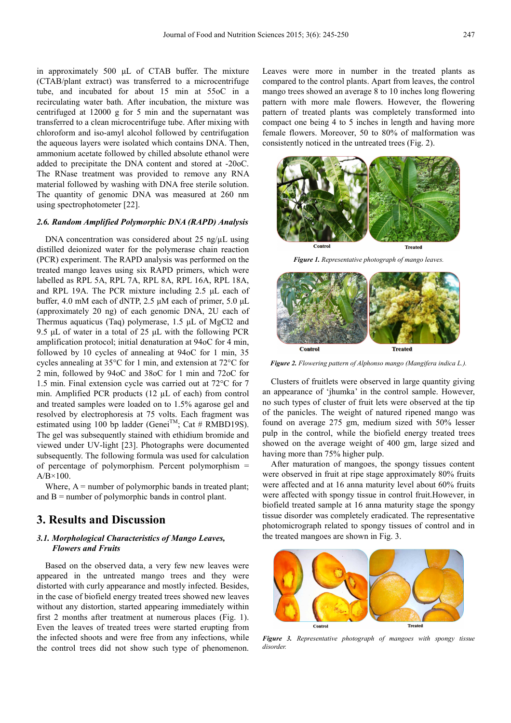in approximately 500 µL of CTAB buffer. The mixture (CTAB/plant extract) was transferred to a microcentrifuge tube, and incubated for about 15 min at 55oC in a recirculating water bath. After incubation, the mixture was centrifuged at 12000 g for 5 min and the supernatant was transferred to a clean microcentrifuge tube. After mixing with chloroform and iso-amyl alcohol followed by centrifugation the aqueous layers were isolated which contains DNA. Then, ammonium acetate followed by chilled absolute ethanol were added to precipitate the DNA content and stored at -20oC. The RNase treatment was provided to remove any RNA material followed by washing with DNA free sterile solution. The quantity of genomic DNA was measured at 260 nm using spectrophotometer [22].

#### *2.6. Random Amplified Polymorphic DNA (RAPD) Analysis*

DNA concentration was considered about 25 ng/µL using distilled deionized water for the polymerase chain reaction (PCR) experiment. The RAPD analysis was performed on the treated mango leaves using six RAPD primers, which were labelled as RPL 5A, RPL 7A, RPL 8A, RPL 16A, RPL 18A, and RPL 19A. The PCR mixture including 2.5 µL each of buffer, 4.0 mM each of dNTP, 2.5 µM each of primer, 5.0 µL (approximately 20 ng) of each genomic DNA, 2U each of Thermus aquaticus (Taq) polymerase, 1.5 µL of MgCl2 and 9.5 µL of water in a total of 25 µL with the following PCR amplification protocol; initial denaturation at 94oC for 4 min, followed by 10 cycles of annealing at 94oC for 1 min, 35 cycles annealing at 35°C for 1 min, and extension at 72°C for 2 min, followed by 94oC and 38oC for 1 min and 72oC for 1.5 min. Final extension cycle was carried out at 72°C for 7 min. Amplified PCR products (12 µL of each) from control and treated samples were loaded on to 1.5% agarose gel and resolved by electrophoresis at 75 volts. Each fragment was estimated using 100 bp ladder (Genei<sup>TM</sup>; Cat # RMBD19S). The gel was subsequently stained with ethidium bromide and viewed under UV-light [23]. Photographs were documented subsequently. The following formula was used for calculation of percentage of polymorphism. Percent polymorphism =  $A/B \times 100$ .

Where,  $A =$  number of polymorphic bands in treated plant; and  $B =$  number of polymorphic bands in control plant.

## **3. Results and Discussion**

#### *3.1. Morphological Characteristics of Mango Leaves, Flowers and Fruits*

Based on the observed data, a very few new leaves were appeared in the untreated mango trees and they were distorted with curly appearance and mostly infected. Besides, in the case of biofield energy treated trees showed new leaves without any distortion, started appearing immediately within first 2 months after treatment at numerous places (Fig. 1). Even the leaves of treated trees were started erupting from the infected shoots and were free from any infections, while the control trees did not show such type of phenomenon.

Leaves were more in number in the treated plants as compared to the control plants. Apart from leaves, the control mango trees showed an average 8 to 10 inches long flowering pattern with more male flowers. However, the flowering pattern of treated plants was completely transformed into compact one being 4 to 5 inches in length and having more female flowers. Moreover, 50 to 80% of malformation was consistently noticed in the untreated trees (Fig. 2).



*Figure 1. Representative photograph of mango leaves.* 



*Figure 2. Flowering pattern of Alphonso mango (Mangifera indica L.).* 

Clusters of fruitlets were observed in large quantity giving an appearance of 'jhumka' in the control sample. However, no such types of cluster of fruit lets were observed at the tip of the panicles. The weight of natured ripened mango was found on average 275 gm, medium sized with 50% lesser pulp in the control, while the biofield energy treated trees showed on the average weight of 400 gm, large sized and having more than 75% higher pulp.

After maturation of mangoes, the spongy tissues content were observed in fruit at ripe stage approximately 80% fruits were affected and at 16 anna maturity level about 60% fruits were affected with spongy tissue in control fruit.However, in biofield treated sample at 16 anna maturity stage the spongy tissue disorder was completely eradicated. The representative photomicrograph related to spongy tissues of control and in the treated mangoes are shown in Fig. 3.



*Figure 3. Representative photograph of mangoes with spongy tissue disorder.*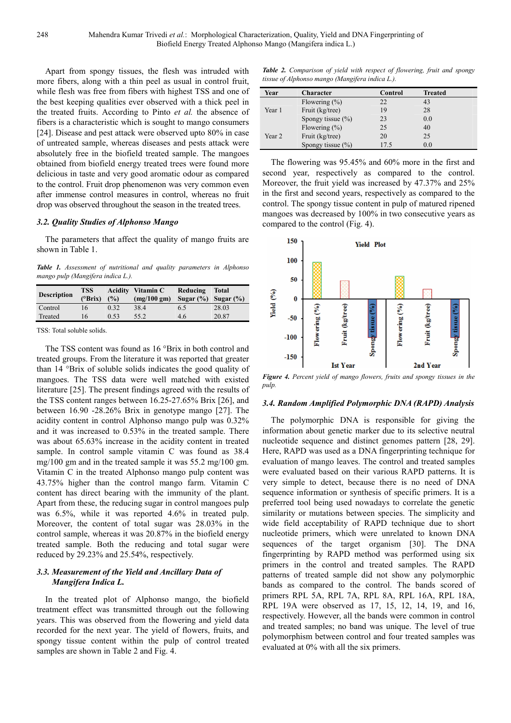Apart from spongy tissues, the flesh was intruded with more fibers, along with a thin peel as usual in control fruit, while flesh was free from fibers with highest TSS and one of the best keeping qualities ever observed with a thick peel in the treated fruits. According to Pinto *et al.* the absence of fibers is a characteristic which is sought to mango consumers [24]. Disease and pest attack were observed upto 80% in case of untreated sample, whereas diseases and pests attack were absolutely free in the biofield treated sample. The mangoes obtained from biofield energy treated trees were found more delicious in taste and very good aromatic odour as compared to the control. Fruit drop phenomenon was very common even after immense control measures in control, whereas no fruit drop was observed throughout the season in the treated trees.

#### *3.2. Quality Studies of Alphonso Mango*

The parameters that affect the quality of mango fruits are shown in Table 1.

*Table 1. Assessment of nutritional and quality parameters in Alphonso mango pulp (Mangifera indica L.).* 

| <b>Description</b> | <b>TSS</b> |      | <b>Acidity</b> Vitamin C | Reducing     | Total        |
|--------------------|------------|------|--------------------------|--------------|--------------|
|                    | (°Brix)    | (%)  | (mg/100 gm)              | Sugar $(\%)$ | Sugar $(\%)$ |
| Control            | 16         | 0.32 | 38.4                     | 6.5          | 28.03        |
| Treated            | 16         | 0.53 | 55.2                     | 4.6          | 20.87        |
|                    |            |      |                          |              |              |

TSS: Total soluble solids.

The TSS content was found as 16 °Brix in both control and treated groups. From the literature it was reported that greater than 14 °Brix of soluble solids indicates the good quality of mangoes. The TSS data were well matched with existed literature [25]. The present findings agreed with the results of the TSS content ranges between 16.25-27.65% Brix [26], and between 16.90 -28.26% Brix in genotype mango [27]. The acidity content in control Alphonso mango pulp was 0.32% and it was increased to 0.53% in the treated sample. There was about 65.63% increase in the acidity content in treated sample. In control sample vitamin C was found as 38.4 mg/100 gm and in the treated sample it was 55.2 mg/100 gm. Vitamin C in the treated Alphonso mango pulp content was 43.75% higher than the control mango farm. Vitamin C content has direct bearing with the immunity of the plant. Apart from these, the reducing sugar in control mangoes pulp was 6.5%, while it was reported 4.6% in treated pulp. Moreover, the content of total sugar was 28.03% in the control sample, whereas it was 20.87% in the biofield energy treated sample. Both the reducing and total sugar were reduced by 29.23% and 25.54%, respectively.

#### *3.3. Measurement of the Yield and Ancillary Data of Mangifera Indica L.*

In the treated plot of Alphonso mango, the biofield treatment effect was transmitted through out the following years. This was observed from the flowering and yield data recorded for the next year. The yield of flowers, fruits, and spongy tissue content within the pulp of control treated samples are shown in Table 2 and Fig. 4.

*Table 2. Comparison of yield with respect of flowering, fruit and spongy tissue of Alphonso mango (Mangifera indica L.).* 

| Year   | <b>Character</b>      | Control | <b>Treated</b> |
|--------|-----------------------|---------|----------------|
|        | Flowering $(\% )$     | 22      | 43             |
| Year 1 | Fruit (kg/tree)       | 19      | 28             |
|        | Spongy tissue $(\% )$ | 23      | 0.0            |
|        | Flowering $(\% )$     | 25      | 40             |
| Year 2 | Fruit (kg/tree)       | 20      | 25             |
|        | Spongy tissue $(\% )$ | 17.5    | 0.0            |

The flowering was 95.45% and 60% more in the first and second year, respectively as compared to the control. Moreover, the fruit yield was increased by 47.37% and 25% in the first and second years, respectively as compared to the control. The spongy tissue content in pulp of matured ripened mangoes was decreased by 100% in two consecutive years as compared to the control (Fig. 4).



*Figure 4. Percent yield of mango flowers, fruits and spongy tissues in the pulp.* 

#### *3.4. Random Amplified Polymorphic DNA (RAPD) Analysis*

The polymorphic DNA is responsible for giving the information about genetic marker due to its selective neutral nucleotide sequence and distinct genomes pattern [28, 29]. Here, RAPD was used as a DNA fingerprinting technique for evaluation of mango leaves. The control and treated samples were evaluated based on their various RAPD patterns. It is very simple to detect, because there is no need of DNA sequence information or synthesis of specific primers. It is a preferred tool being used nowadays to correlate the genetic similarity or mutations between species. The simplicity and wide field acceptability of RAPD technique due to short nucleotide primers, which were unrelated to known DNA sequences of the target organism [30]. The DNA fingerprinting by RAPD method was performed using six primers in the control and treated samples. The RAPD patterns of treated sample did not show any polymorphic bands as compared to the control. The bands scored of primers RPL 5A, RPL 7A, RPL 8A, RPL 16A, RPL 18A, RPL 19A were observed as 17, 15, 12, 14, 19, and 16, respectively. However, all the bands were common in control and treated samples; no band was unique. The level of true polymorphism between control and four treated samples was evaluated at 0% with all the six primers.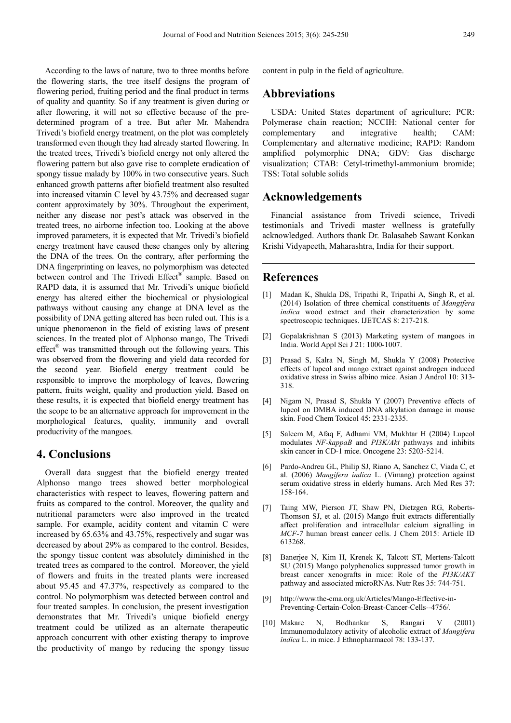According to the laws of nature, two to three months before the flowering starts, the tree itself designs the program of flowering period, fruiting period and the final product in terms of quality and quantity. So if any treatment is given during or after flowering, it will not so effective because of the predetermined program of a tree. But after Mr. Mahendra Trivedi's biofield energy treatment, on the plot was completely transformed even though they had already started flowering. In the treated trees, Trivedi's biofield energy not only altered the flowering pattern but also gave rise to complete eradication of spongy tissue malady by 100% in two consecutive years. Such enhanced growth patterns after biofield treatment also resulted into increased vitamin C level by 43.75% and decreased sugar content approximately by 30%. Throughout the experiment, neither any disease nor pest's attack was observed in the treated trees, no airborne infection too. Looking at the above improved parameters, it is expected that Mr. Trivedi's biofield energy treatment have caused these changes only by altering the DNA of the trees. On the contrary, after performing the DNA fingerprinting on leaves, no polymorphism was detected between control and The Trivedi Effect® sample. Based on RAPD data, it is assumed that Mr. Trivedi's unique biofield energy has altered either the biochemical or physiological pathways without causing any change at DNA level as the possibility of DNA getting altered has been ruled out. This is a unique phenomenon in the field of existing laws of present sciences. In the treated plot of Alphonso mango, The Trivedi effect<sup>®</sup> was transmitted through out the following years. This was observed from the flowering and yield data recorded for the second year. Biofield energy treatment could be responsible to improve the morphology of leaves, flowering pattern, fruits weight, quality and production yield. Based on these results, it is expected that biofield energy treatment has the scope to be an alternative approach for improvement in the morphological features, quality, immunity and overall productivity of the mangoes.

## **4. Conclusions**

Overall data suggest that the biofield energy treated Alphonso mango trees showed better morphological characteristics with respect to leaves, flowering pattern and fruits as compared to the control. Moreover, the quality and nutritional parameters were also improved in the treated sample. For example, acidity content and vitamin C were increased by 65.63% and 43.75%, respectively and sugar was decreased by about 29% as compared to the control. Besides, the spongy tissue content was absolutely diminished in the treated trees as compared to the control. Moreover, the yield of flowers and fruits in the treated plants were increased about 95.45 and 47.37%, respectively as compared to the control. No polymorphism was detected between control and four treated samples. In conclusion, the present investigation demonstrates that Mr. Trivedi's unique biofield energy treatment could be utilized as an alternate therapeutic approach concurrent with other existing therapy to improve the productivity of mango by reducing the spongy tissue

content in pulp in the field of agriculture.

## **Abbreviations**

USDA: United States department of agriculture; PCR: Polymerase chain reaction; NCCIH: National center for complementary and integrative health; CAM: Complementary and alternative medicine; RAPD: Random amplified polymorphic DNA; GDV: Gas discharge visualization; CTAB: Cetyl-trimethyl-ammonium bromide; TSS: Total soluble solids

## **Acknowledgements**

Financial assistance from Trivedi science, Trivedi testimonials and Trivedi master wellness is gratefully acknowledged. Authors thank Dr. Balasaheb Sawant Konkan Krishi Vidyapeeth, Maharashtra, India for their support.

## **References**

- [1] Madan K, Shukla DS, Tripathi R, Tripathi A, Singh R, et al. (2014) Isolation of three chemical constituents of *Mangifera indica* wood extract and their characterization by some spectroscopic techniques. IJETCAS 8: 217-218.
- [2] Gopalakrishnan S (2013) Marketing system of mangoes in India. World Appl Sci J 21: 1000-1007.
- [3] Prasad S, Kalra N, Singh M, Shukla Y (2008) Protective effects of lupeol and mango extract against androgen induced oxidative stress in Swiss albino mice. Asian J Androl 10: 313- 318.
- [4] Nigam N, Prasad S, Shukla Y (2007) Preventive effects of lupeol on DMBA induced DNA alkylation damage in mouse skin. Food Chem Toxicol 45: 2331-2335.
- [5] Saleem M, Afaq F, Adhami VM, Mukhtar H (2004) Lupeol modulates *NF-kappaB* and *PI3K/Akt* pathways and inhibits skin cancer in CD-1 mice. Oncogene 23: 5203-5214.
- [6] Pardo-Andreu GL, Philip SJ, Riano A, Sanchez C, Viada C, et al. (2006) *Mangifera indica* L. (Vimang) protection against serum oxidative stress in elderly humans. Arch Med Res 37: 158-164.
- [7] Taing MW, Pierson JT, Shaw PN, Dietzgen RG, Roberts-Thomson SJ, et al. (2015) Mango fruit extracts differentially affect proliferation and intracellular calcium signalling in *MCF-7* human breast cancer cells. J Chem 2015: Article ID 613268.
- [8] Banerjee N, Kim H, Krenek K, Talcott ST, Mertens-Talcott SU (2015) Mango polyphenolics suppressed tumor growth in breast cancer xenografts in mice: Role of the *PI3K/AKT* pathway and associated microRNAs. Nutr Res 35: 744-751.
- [9] http://www.the-cma.org.uk/Articles/Mango-Effective-in-Preventing-Certain-Colon-Breast-Cancer-Cells--4756/.
- [10] Makare N, Bodhankar S, Rangari V (2001) Immunomodulatory activity of alcoholic extract of *Mangifera indica* L. in mice. J Ethnopharmacol 78: 133-137.